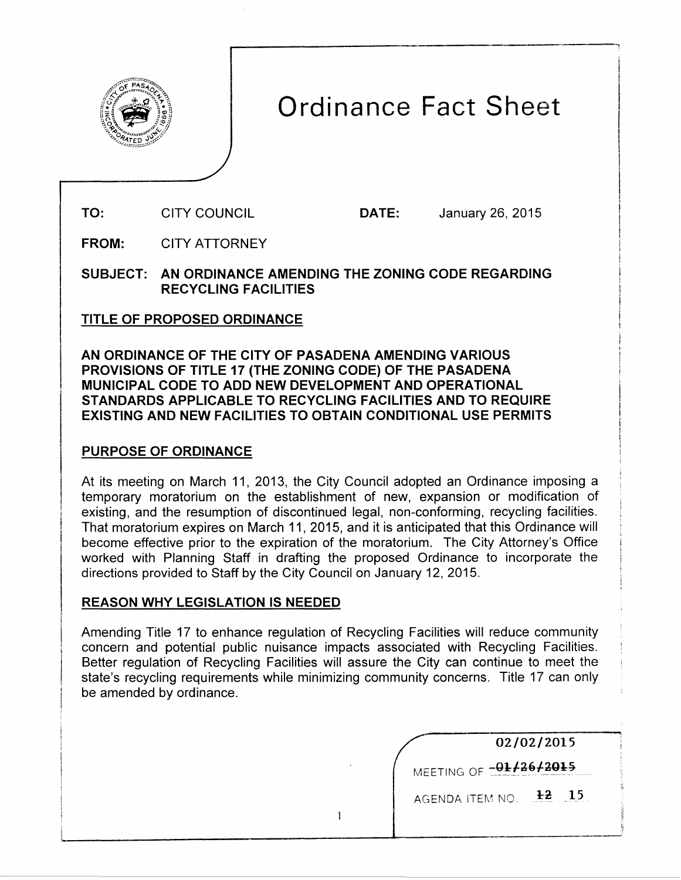

# Ordinance Fact Sheet

---------------------· ---:

TO: CITY COUNCIL DATE: January 26, 2015

FROM: CITY ATTORNEY

SUBJECT: AN ORDINANCE AMENDING THE ZONING CODE REGARDING RECYCLING FACILITIES

## TITLE OF PROPOSED ORDINANCE

AN ORDINANCE OF THE CITY OF PASADENA AMENDING VARIOUS PROVISIONS OF TITLE 17 (THE ZONING CODE) OF THE PASADENA MUNICIPAL CODE TO ADD NEW DEVELOPMENT AND OPERATIONAL STANDARDS APPLICABLE TO RECYCLING FACILITIES AND TO REQUIRE EXISTING AND NEW FACILITIES TO OBTAIN CONDITIONAL USE PERMITS

## PURPOSE OF ORDINANCE

At its meeting on March 11, 2013, the City Council adopted an Ordinance imposing a temporary moratorium on the establishment of new, expansion or modification of existing, and the resumption of discontinued legal, non-conforming, recycling facilities. That moratorium expires on March 11, 2015, and it is anticipated that this Ordinance will become effective prior to the expiration of the moratorium. The City Attorney's Office worked with Planning Staff in drafting the proposed Ordinance to incorporate the directions provided to Staff by the City Council on January 12, 2015.

## REASON WHY LEGISLATION IS NEEDED

Amending Title 17 to enhance regulation of Recycling Facilities will reduce community concern and potential public nuisance impacts associated with Recycling Facilities. Better regulation of Recycling Facilities will assure the City can continue to meet the state's recycling requirements while minimizing community concerns. Title 17 can only be amended by ordinance.

 $\mathbf{1}$ 

| 02/02/2015             |  |  |
|------------------------|--|--|
| MEETING OF -01/26/2015 |  |  |
| AGENDA ITEM NO.        |  |  |